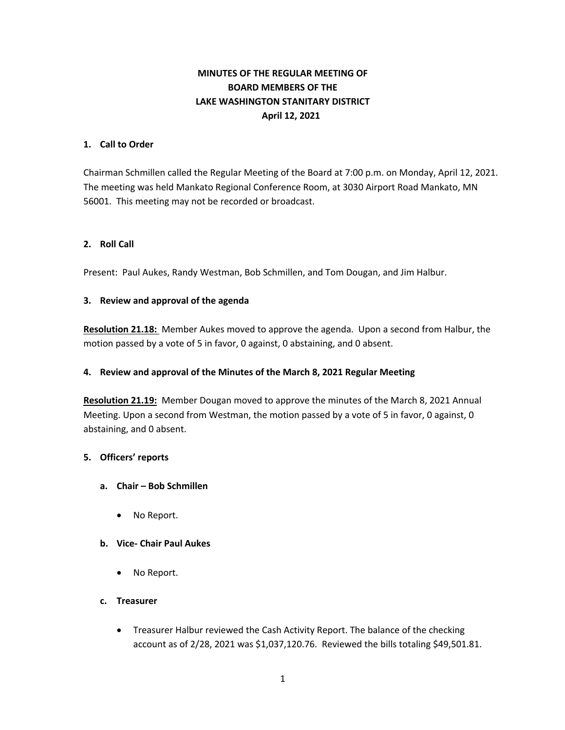# **MINUTES OF THE REGULAR MEETING OF BOARD MEMBERS OF THE LAKE WASHINGTON STANITARY DISTRICT April 12, 2021**

### **1. Call to Order**

Chairman Schmillen called the Regular Meeting of the Board at 7:00 p.m. on Monday, April 12, 2021. The meeting was held Mankato Regional Conference Room, at 3030 Airport Road Mankato, MN 56001. This meeting may not be recorded or broadcast.

### **2. Roll Call**

Present: Paul Aukes, Randy Westman, Bob Schmillen, and Tom Dougan, and Jim Halbur.

#### **3. Review and approval of the agenda**

**Resolution 21.18:** Member Aukes moved to approve the agenda. Upon a second from Halbur, the motion passed by a vote of 5 in favor, 0 against, 0 abstaining, and 0 absent.

#### **4. Review and approval of the Minutes of the March 8, 2021 Regular Meeting**

**Resolution 21.19:** Member Dougan moved to approve the minutes of the March 8, 2021 Annual Meeting. Upon a second from Westman, the motion passed by a vote of 5 in favor, 0 against, 0 abstaining, and 0 absent.

#### **5. Officers' reports**

- **a. Chair – Bob Schmillen**
	- No Report.

#### **b. Vice- Chair Paul Aukes**

• No Report.

#### **c. Treasurer**

• Treasurer Halbur reviewed the Cash Activity Report. The balance of the checking account as of 2/28, 2021 was \$1,037,120.76. Reviewed the bills totaling \$49,501.81.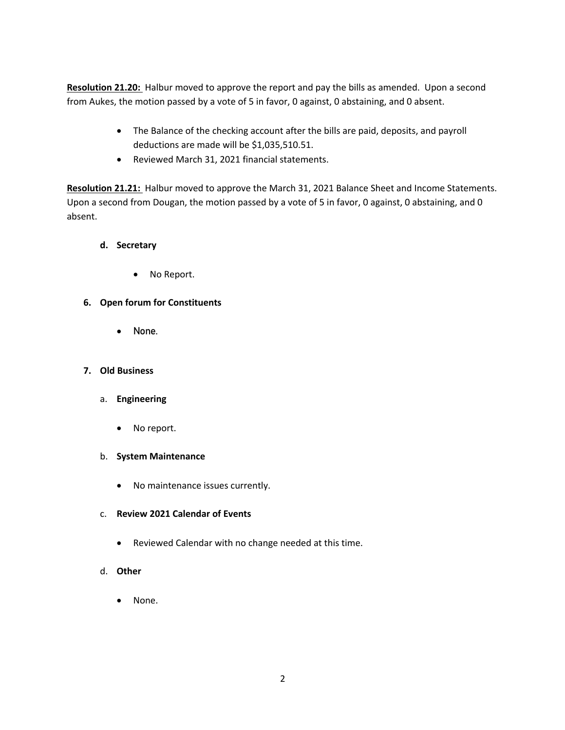**Resolution 21.20:** Halbur moved to approve the report and pay the bills as amended. Upon a second from Aukes, the motion passed by a vote of 5 in favor, 0 against, 0 abstaining, and 0 absent.

- The Balance of the checking account after the bills are paid, deposits, and payroll deductions are made will be \$1,035,510.51.
- Reviewed March 31, 2021 financial statements.

**Resolution 21.21:** Halbur moved to approve the March 31, 2021 Balance Sheet and Income Statements. Upon a second from Dougan, the motion passed by a vote of 5 in favor, 0 against, 0 abstaining, and 0 absent.

## **d. Secretary**

No Report.

## **6. Open forum for Constituents**

• None.

## **7. Old Business**

- a. **Engineering**
	- No report.
- b. **System Maintenance**
	- No maintenance issues currently.
- c. **Review 2021 Calendar of Events**
	- Reviewed Calendar with no change needed at this time.
- d. **Other**
	- None.